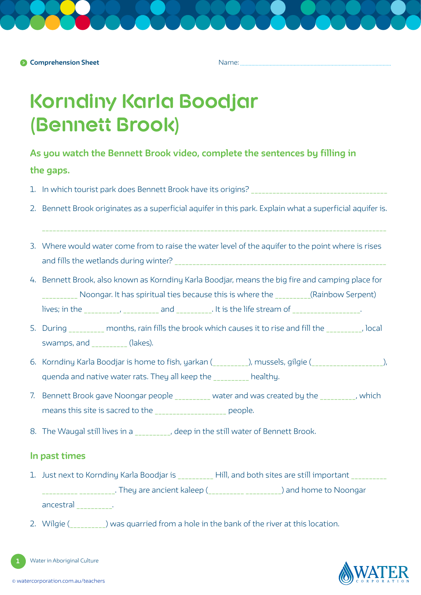Name:

# **Korndiny Karla Boodjar (Bennett Brook)**

## **As you watch the Bennett Brook video, complete the sentences by filling in**

## **the gaps.**

- 1. In which tourist park does Bennett Brook have its origins? \_\_\_\_\_\_\_\_\_\_\_\_\_\_\_\_\_\_\_\_\_\_\_\_\_\_\_\_\_\_\_\_\_\_\_\_\_\_
- 2. Bennett Brook originates as a superficial aquifer in this park. Explain what a superficial aquifer is.
- 3. Where would water come from to raise the water level of the aquifer to the point where is rises and fills the wetlands during winter?
- 4. Bennett Brook, also known as Korndiny Karla Boodjar, means the big fire and camping place for \_\_\_\_\_\_\_\_\_\_ Noongar. It has spiritual ties because this is where the \_\_\_\_\_\_\_\_\_\_(Rainbow Serpent) lives; in the \_\_\_\_\_\_\_\_\_, \_\_\_\_\_\_\_\_\_\_ and \_\_\_\_\_\_\_\_\_. It is the life stream of \_\_\_\_\_\_\_\_\_\_\_\_\_\_\_\_\_\_\_.
- 5. During \_\_\_\_\_\_\_\_\_\_ months, rain fills the brook which causes it to rise and fill the \_\_\_\_\_\_\_\_\_\_, local swamps, and \_\_\_\_\_\_\_\_\_\_ (lakes).
- 6. Korndiny Karla Boodjar is home to fish, yarkan (\_\_\_\_\_\_\_\_\_\_), mussels, gilgie (\_\_\_\_\_\_\_\_\_\_\_\_\_\_\_\_\_\_\_\_), quenda and native water rats. They all keep the healthy.
- 7. Bennett Brook gave Noongar people water and was created by the which means this site is sacred to the \_\_\_\_\_\_\_\_\_\_\_\_\_\_\_\_\_\_\_\_ people.
- 8. The Waugal still lives in a state of Bennett Brook.

## **In past times**

- 1. Just next to Korndiny Karla Boodjar is **East Hill**, and both sites are still important \_\_ \_\_\_\_\_\_\_\_\_\_. They are ancient kaleep (\_\_\_\_\_\_\_\_\_ \_\_\_\_\_\_\_\_\_\_\_) and home to Noongar ancestral \_\_\_\_\_\_\_\_\_\_.
- 2. Wilgie ( $\Box$ ) was quarried from a hole in the bank of the river at this location.

Water in Aboriginal Culture

**1**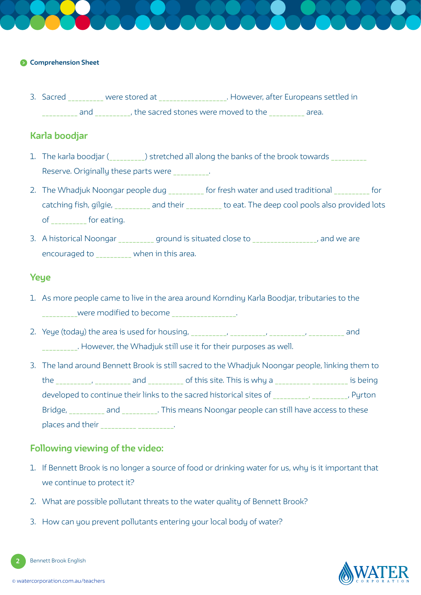### **Comprehension Sheet**

3. Sacred were stored at **Europeans settled in** Backet Buropeans settled in and and and and the sacred stones were moved to the  $\overline{\phantom{a}}$  area.

## **Karla boodjar**

- 1. The karla boodjar (  $\hskip1cm$  ) stretched all along the banks of the brook towards Reserve. Originally these parts were
- 2. The Whadjuk Noongar people dug \_\_\_\_\_\_\_\_\_ for fresh water and used traditional \_\_\_\_\_\_\_\_\_ for catching fish, gilgie, and their to eat. The deep cool pools also provided lots of for eating.
- 3. A historical Noongar \_\_\_\_\_\_\_\_\_\_ ground is situated close to \_\_\_\_\_\_\_\_\_\_\_\_\_\_\_\_, and we are encouraged to \_\_\_\_\_\_\_\_\_\_ when in this area.

## **Yeye**

- 1. As more people came to live in the area around Korndiny Karla Boodjar, tributaries to the were modified to become **were modified** to become
- 2. Yeye (today) the area is used for housing, \_\_\_\_\_\_\_\_\_\_, \_\_\_\_\_\_\_\_\_\_, \_\_\_\_\_\_\_\_\_\_, \_\_\_\_\_\_\_\_\_\_ and \_\_\_\_\_\_\_\_\_\_. However, the Whadjuk still use it for their purposes as well.
- 3. The land around Bennett Brook is still sacred to the Whadjuk Noongar people, linking them to the \_\_\_\_\_\_\_\_\_, \_\_\_\_\_\_\_\_\_\_ and \_\_\_\_\_\_\_\_\_\_\_ of this site. This is why a \_\_\_\_\_\_\_\_\_\_ \_\_\_\_\_\_\_\_\_\_ is being developed to continue their links to the sacred historical sites of \_\_\_\_\_\_\_\_\_, \_\_\_\_\_\_\_\_, Pyrton Bridge, and and Ellis means Noongar people can still have access to these places and their \_\_\_\_\_\_\_\_\_\_ \_\_\_\_\_\_\_\_\_\_.

## **Following viewing of the video:**

- 1. If Bennett Brook is no longer a source of food or drinking water for us, why is it important that we continue to protect it?
- 2. What are possible pollutant threats to the water quality of Bennett Brook?
- 3. How can you prevent pollutants entering your local body of water?